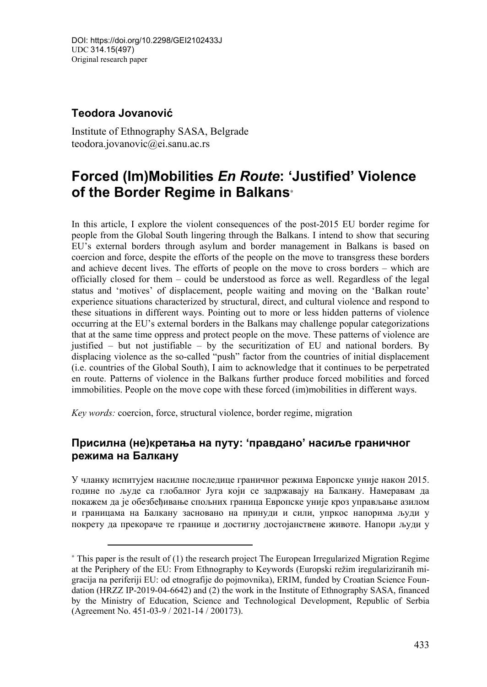## **Teodora Jovanović**

 $\overline{a}$ 

Institute of Ethnography SASA, Belgrade teodora.jovanovic@ei.sanu.ac.rs

# **Forced (Im)Mobilities** *En Route***: 'Justified' Violence of the Border Regime in Balkans**<sup>∗</sup>

In this article, I explore the violent consequences of the post-2015 EU border regime for people from the Global South lingering through the Balkans. I intend to show that securing EU's external borders through asylum and border management in Balkans is based on coercion and force, despite the efforts of the people on the move to transgress these borders and achieve decent lives. The efforts of people on the move to cross borders – which are officially closed for them – could be understood as force as well. Regardless of the legal status and 'motives' of displacement, people waiting and moving on the 'Balkan route' experience situations characterized by structural, direct, and cultural violence and respond to these situations in different ways. Pointing out to more or less hidden patterns of violence occurring at the EU's external borders in the Balkans may challenge popular categorizations that at the same time oppress and protect people on the move. These patterns of violence are justified – but not justifiable – by the securitization of EU and national borders. By displacing violence as the so-called "push" factor from the countries of initial displacement (i.e. countries of the Global South), I aim to acknowledge that it continues to be perpetrated en route. Patterns of violence in the Balkans further produce forced mobilities and forced immobilities. People on the move cope with these forced (im)mobilities in different ways.

*Key words:* coercion, force, structural violence, border regime, migration

### **Присилна (не)кретања на путу: 'правдано' насиље граничног режима на Балкану**

У чланку испитујем насилне последице граничног режима Европске уније након 2015. године по људе са глобалног Југа који се задржавају на Балкану. Намеравам да покажем да је обезбеђивање спољних граница Европске уније кроз управљање азилом и границама на Балкану засновано на принуди и сили, упркос напорима људи у покрету да прекораче те границе и достигну достојанствене животе. Напори људи у

<sup>∗</sup> This paper is the result of (1) the research project The European Irregularized Migration Regime at the Periphery of the EU: From Ethnography to Keywords (Europski režim iregulariziranih migracija na periferiji EU: od etnografije do pojmovnika), ERIM, funded by Croatian Science Foundation (HRZZ IP-2019-04-6642) and (2) the work in the Institute of Ethnography SASA, financed by the Ministry of Education, Science and Technological Development, Republic of Serbia (Agreement No. 451-03-9 / 2021-14 / 200173).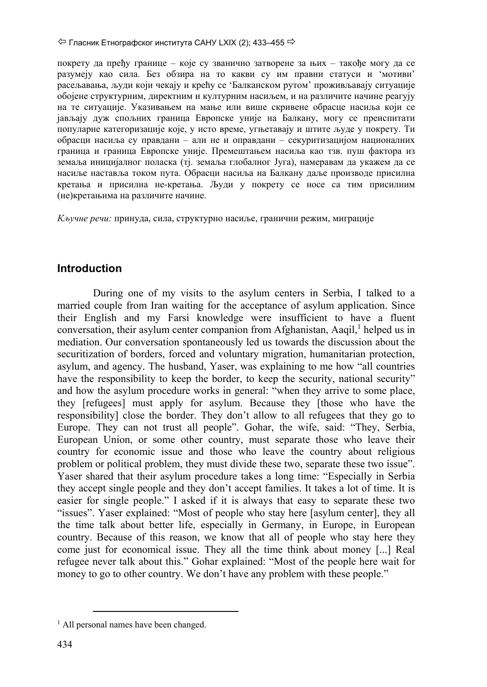покрету да пређу границе – које су званично затворене за њих – такође могу да се разумеју као сила. Без обзира на то какви су им правни статуси и 'мотиви' расељавања, људи који чекају и крећу се 'Балканском рутом' проживљавају ситуације обојене структурним, директним и културним насиљем, и на различите начине реагују на те ситуације. Указивањем на мање или више скривене обрасце насиља који се јављају дуж спољних граница Европске уније на Балкану, могу се преиспитати популарне категоризације које, у исто време, угњетавају и штите људе у покрету. Ти обрасци насиља су правдани – али не и оправдани – секуритизацијом националних граница и граница Европске уније. Премештањем насиља као тзв. пуш фактора из земаља иницијалног поласка (тј. земаља глобалног Југа), намеравам да укажем да се насиље наставља током пута. Обрасци насиља на Балкану даље производе присилна кретања и присилна не-кретања. Људи у покрету се носе са тим присилним (не)кретањима на различите начине.

*Кључне речи:* принуда, сила, структурно насиље, гранични режим, миграције

## **Introduction**

During one of my visits to the asylum centers in Serbia, I talked to a married couple from Iran waiting for the acceptance of asylum application. Since their English and my Farsi knowledge were insufficient to have a fluent conversation, their asylum center companion from Afghanistan, Aaqil,<sup>1</sup> helped us in mediation. Our conversation spontaneously led us towards the discussion about the securitization of borders, forced and voluntary migration, humanitarian protection, asylum, and agency. The husband, Yaser, was explaining to me how "all countries have the responsibility to keep the border, to keep the security, national security" and how the asylum procedure works in general: "when they arrive to some place, they [refugees] must apply for asylum. Because they [those who have the responsibility] close the border. They don't allow to all refugees that they go to Europe. They can not trust all people". Gohar, the wife, said: "They, Serbia, European Union, or some other country, must separate those who leave their country for economic issue and those who leave the country about religious problem or political problem, they must divide these two, separate these two issue". Yaser shared that their asylum procedure takes a long time: "Especially in Serbia they accept single people and they don't accept families. It takes a lot of time. It is easier for single people." I asked if it is always that easy to separate these two "issues". Yaser explained: "Most of people who stay here [asylum center], they all the time talk about better life, especially in Germany, in Europe, in European country. Because of this reason, we know that all of people who stay here they come just for economical issue. They all the time think about money [...] Real refugee never talk about this." Gohar explained: "Most of the people here wait for money to go to other country. We don't have any problem with these people."

<sup>&</sup>lt;sup>1</sup> All personal names have been changed.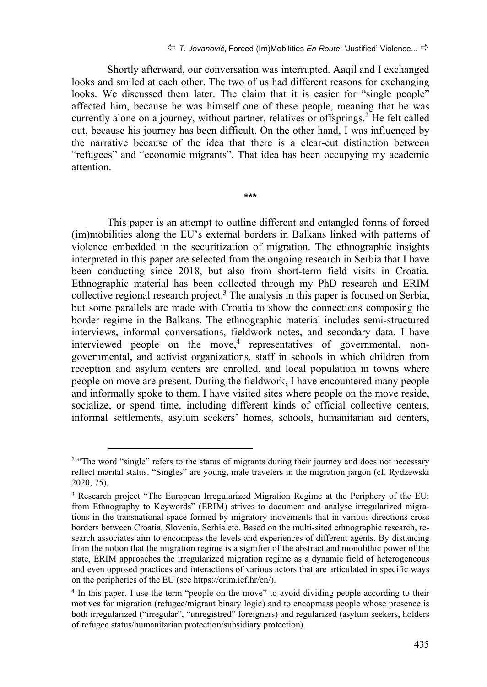Shortly afterward, our conversation was interrupted. Aaqil and I exchanged looks and smiled at each other. The two of us had different reasons for exchanging looks. We discussed them later. The claim that it is easier for "single people" affected him, because he was himself one of these people, meaning that he was currently alone on a journey, without partner, relatives or offsprings.<sup>2</sup> He felt called out, because his journey has been difficult. On the other hand, I was influenced by the narrative because of the idea that there is a clear-cut distinction between "refugees" and "economic migrants". That idea has been occupying my academic attention.

**\*\*\*** 

This paper is an attempt to outline different and entangled forms of forced (im)mobilities along the EU's external borders in Balkans linked with patterns of violence embedded in the securitization of migration. The ethnographic insights interpreted in this paper are selected from the ongoing research in Serbia that I have been conducting since 2018, but also from short-term field visits in Croatia. Ethnographic material has been collected through my PhD research and ERIM collective regional research project.<sup>3</sup> The analysis in this paper is focused on Serbia, but some parallels are made with Croatia to show the connections composing the border regime in the Balkans. The ethnographic material includes semi-structured interviews, informal conversations, fieldwork notes, and secondary data. I have interviewed people on the move,<sup>4</sup> representatives of governmental, nongovernmental, and activist organizations, staff in schools in which children from reception and asylum centers are enrolled, and local population in towns where people on move are present. During the fieldwork, I have encountered many people and informally spoke to them. I have visited sites where people on the move reside, socialize, or spend time, including different kinds of official collective centers, informal settlements, asylum seekers' homes, schools, humanitarian aid centers,

<sup>&</sup>lt;sup>2</sup> "The word "single" refers to the status of migrants during their journey and does not necessary reflect marital status. "Singles" are young, male travelers in the migration jargon (cf. Rydzewski 2020, 75).

<sup>&</sup>lt;sup>3</sup> Research project "The European Irregularized Migration Regime at the Periphery of the EU: from Ethnography to Keywords" (ERIM) strives to document and analyse irregularized migrations in the transnational space formed by migratory movements that in various directions cross borders between Croatia, Slovenia, Serbia etc. Based on the multi-sited ethnographic research, research associates aim to encompass the levels and experiences of different agents. By distancing from the notion that the migration regime is a signifier of the abstract and monolithic power of the state, ERIM approaches the irregularized migration regime as a dynamic field of heterogeneous and even opposed practices and interactions of various actors that are articulated in specific ways on the peripheries of the EU (see https://erim.ief.hr/en/).

<sup>4</sup> In this paper, I use the term "people on the move" to avoid dividing people according to their motives for migration (refugee/migrant binary logic) and to encopmass people whose presence is both irregularized ("irregular", "unregistred" foreigners) and regularized (asylum seekers, holders of refugee status/humanitarian protection/subsidiary protection).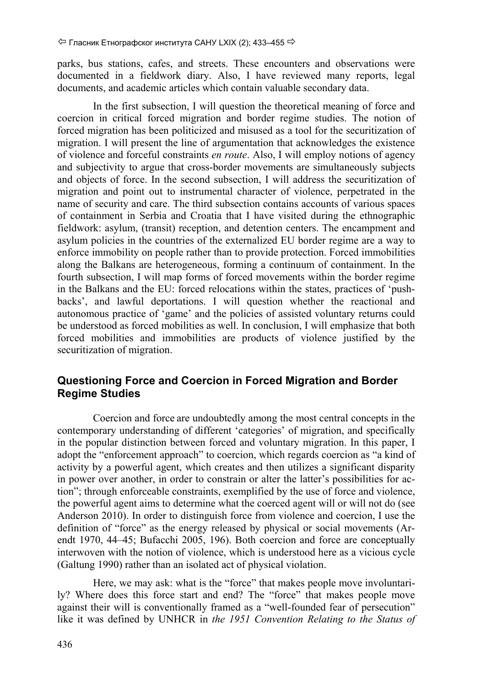parks, bus stations, cafes, and streets. These encounters and observations were documented in a fieldwork diary. Also, I have reviewed many reports, legal documents, and academic articles which contain valuable secondary data.

In the first subsection, I will question the theoretical meaning of force and coercion in critical forced migration and border regime studies. The notion of forced migration has been politicized and misused as a tool for the securitization of migration. I will present the line of argumentation that acknowledges the existence of violence and forceful constraints *en route*. Also, I will employ notions of agency and subjectivity to argue that cross-border movements are simultaneously subjects and objects of force. In the second subsection, I will address the securitization of migration and point out to instrumental character of violence, perpetrated in the name of security and care. The third subsection contains accounts of various spaces of containment in Serbia and Croatia that I have visited during the ethnographic fieldwork: asylum, (transit) reception, and detention centers. The encampment and asylum policies in the countries of the externalized EU border regime are a way to enforce immobility on people rather than to provide protection. Forced immobilities along the Balkans are heterogeneous, forming a continuum of containment. In the fourth subsection, I will map forms of forced movements within the border regime in the Balkans and the EU: forced relocations within the states, practices of 'pushbacks', and lawful deportations. I will question whether the reactional and autonomous practice of 'game' and the policies of assisted voluntary returns could be understood as forced mobilities as well. In conclusion, I will emphasize that both forced mobilities and immobilities are products of violence justified by the securitization of migration.

## **Questioning Force and Coercion in Forced Migration and Border Regime Studies**

Coercion and force are undoubtedly among the most central concepts in the contemporary understanding of different 'categories' of migration, and specifically in the popular distinction between forced and voluntary migration. In this paper, I adopt the "enforcement approach" to coercion, which regards coercion as "a kind of activity by a powerful agent, which creates and then utilizes a significant disparity in power over another, in order to constrain or alter the latter's possibilities for action"; through enforceable constraints, exemplified by the use of force and violence, the powerful agent aims to determine what the coerced agent will or will not do (see Anderson 2010). In order to distinguish force from violence and coercion, I use the definition of "force" as the energy released by physical or social movements (Arendt 1970, 44–45; Bufacchi 2005, 196). Both coercion and force are conceptually interwoven with the notion of violence, which is understood here as a vicious cycle (Galtung 1990) rather than an isolated act of physical violation.

Here, we may ask: what is the "force" that makes people move involuntarily? Where does this force start and end? The "force" that makes people move against their will is conventionally framed as a "well-founded fear of persecution" like it was defined by UNHCR in *the 1951 Convention Relating to the Status of*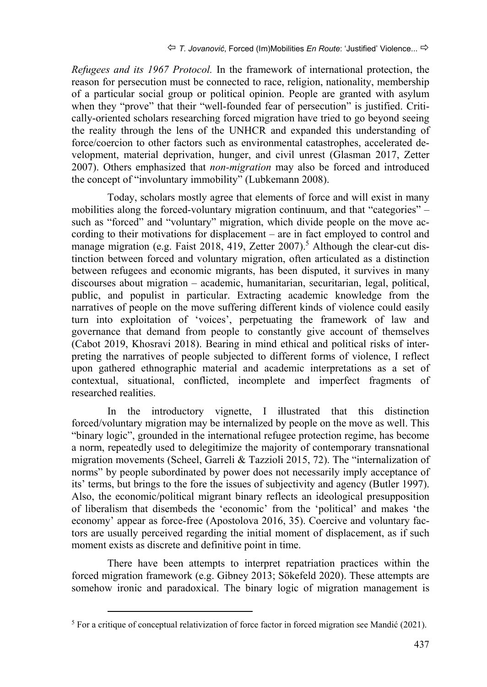*Refugees and its 1967 Protocol.* In the framework of international protection, the reason for persecution must be connected to race, religion, nationality, membership of a particular social group or political opinion. People are granted with asylum when they "prove" that their "well-founded fear of persecution" is justified. Critically-oriented scholars researching forced migration have tried to go beyond seeing the reality through the lens of the UNHCR and expanded this understanding of force/coercion to other factors such as environmental catastrophes, accelerated development, material deprivation, hunger, and civil unrest (Glasman 2017, Zetter 2007). Others emphasized that *non-migration* may also be forced and introduced the concept of "involuntary immobility" (Lubkemann 2008).

Today, scholars mostly agree that elements of force and will exist in many mobilities along the forced-voluntary migration continuum, and that "categories" – such as "forced" and "voluntary" migration, which divide people on the move according to their motivations for displacement – are in fact employed to control and manage migration (e.g. Faist 2018, 419, Zetter 2007).<sup>5</sup> Although the clear-cut distinction between forced and voluntary migration, often articulated as a distinction between refugees and economic migrants, has been disputed, it survives in many discourses about migration – academic, humanitarian, securitarian, legal, political, public, and populist in particular. Extracting academic knowledge from the narratives of people on the move suffering different kinds of violence could easily turn into exploitation of 'voices', perpetuating the framework of law and governance that demand from people to constantly give account of themselves (Cabot 2019, Khosravi 2018). Bearing in mind ethical and political risks of interpreting the narratives of people subjected to different forms of violence, I reflect upon gathered ethnographic material and academic interpretations as a set of contextual, situational, conflicted, incomplete and imperfect fragments of researched realities.

In the introductory vignette, I illustrated that this distinction forced/voluntary migration may be internalized by people on the move as well. This "binary logic", grounded in the international refugee protection regime, has become a norm, repeatedly used to delegitimize the majority of contemporary transnational migration movements (Scheel, Garreli & Tazzioli 2015, 72). The "internalization of norms" by people subordinated by power does not necessarily imply acceptance of its' terms, but brings to the fore the issues of subjectivity and agency (Butler 1997). Also, the economic/political migrant binary reflects an ideological presupposition of liberalism that disembeds the 'economic' from the 'political' and makes 'the economy' appear as force-free (Apostolova 2016, 35). Coercive and voluntary factors are usually perceived regarding the initial moment of displacement, as if such moment exists as discrete and definitive point in time.

There have been attempts to interpret repatriation practices within the forced migration framework (e.g. Gibney 2013; Sökefeld 2020). These attempts are somehow ironic and paradoxical. The binary logic of migration management is

<sup>5</sup> For a critique of conceptual relativization of force factor in forced migration see Mandić (2021).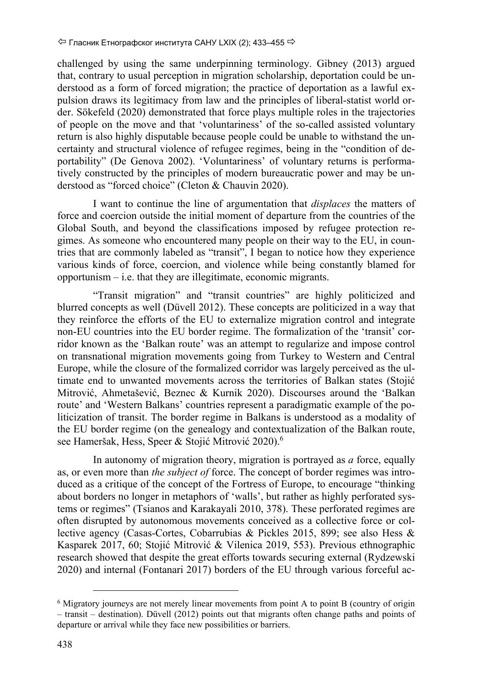challenged by using the same underpinning terminology. Gibney (2013) argued that, contrary to usual perception in migration scholarship, deportation could be understood as a form of forced migration; the practice of deportation as a lawful expulsion draws its legitimacy from law and the principles of liberal-statist world order. Sökefeld (2020) demonstrated that force plays multiple roles in the trajectories of people on the move and that 'voluntariness' of the so-called assisted voluntary return is also highly disputable because people could be unable to withstand the uncertainty and structural violence of refugee regimes, being in the "condition of deportability" (De Genova 2002). 'Voluntariness' of voluntary returns is performatively constructed by the principles of modern bureaucratic power and may be understood as "forced choice" (Cleton & Chauvin 2020).

I want to continue the line of argumentation that *displaces* the matters of force and coercion outside the initial moment of departure from the countries of the Global South, and beyond the classifications imposed by refugee protection regimes. As someone who encountered many people on their way to the EU, in countries that are commonly labeled as "transit", I began to notice how they experience various kinds of force, coercion, and violence while being constantly blamed for opportunism – i.e. that they are illegitimate, economic migrants.

"Transit migration" and "transit countries" are highly politicized and blurred concepts as well (Düvell 2012). These concepts are politicized in a way that they reinforce the efforts of the EU to externalize migration control and integrate non-EU countries into the EU border regime. The formalization of the 'transit' corridor known as the 'Balkan route' was an attempt to regularize and impose control on transnational migration movements going from Turkey to Western and Central Europe, while the closure of the formalized corridor was largely perceived as the ultimate end to unwanted movements across the territories of Balkan states (Stojić Mitrović, Ahmetašević, Beznec & Kurnik 2020). Discourses around the 'Balkan route' and 'Western Balkans' countries represent a paradigmatic example of the politicization of transit. The border regime in Balkans is understood as a modality of the EU border regime (on the genealogy and contextualization of the Balkan route, see Hameršak, Hess, Speer & Stojić Mitrović 2020).<sup>6</sup>

In autonomy of migration theory, migration is portrayed as *a* force, equally as, or even more than *the subject of* force. The concept of border regimes was introduced as a critique of the concept of the Fortress of Europe, to encourage "thinking about borders no longer in metaphors of 'walls', but rather as highly perforated systems or regimes" (Tsianos and Karakayali 2010, 378). These perforated regimes are often disrupted by autonomous movements conceived as a collective force or collective agency (Casas‐Cortes, Cobarrubias & Pickles 2015, 899; see also Hess & Kasparek 2017, 60; Stojić Mitrović & Vilenica 2019, 553). Previous ethnographic research showed that despite the great efforts towards securing external (Rydzewski 2020) and internal (Fontanari 2017) borders of the EU through various forceful ac-

<sup>6</sup> Migratory journeys are not merely linear movements from point A to point B (country of origin – transit – destination). Düvell (2012) points out that migrants often change paths and points of departure or arrival while they face new possibilities or barriers.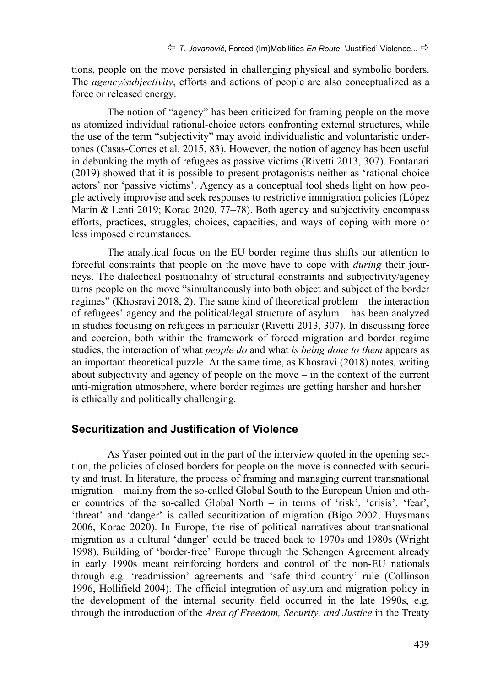tions, people on the move persisted in challenging physical and symbolic borders. The *agency/subjectivity*, efforts and actions of people are also conceptualized as a force or released energy.

The notion of "agency" has been criticized for framing people on the move as atomized individual rational-choice actors confronting external structures, while the use of the term "subjectivity" may avoid individualistic and voluntaristic undertones (Casas-Cortes et al. 2015, 83). However, the notion of agency has been useful in debunking the myth of refugees as passive victims (Rivetti 2013, 307). Fontanari (2019) showed that it is possible to present protagonists neither as 'rational choice actors' nor 'passive victims'. Agency as a conceptual tool sheds light on how people actively improvise and seek responses to restrictive immigration policies (López Marín & Lenti 2019; Korac 2020, 77–78). Both agency and subjectivity encompass efforts, practices, struggles, choices, capacities, and ways of coping with more or less imposed circumstances.

The analytical focus on the EU border regime thus shifts our attention to forceful constraints that people on the move have to cope with *during* their journeys. The dialectical positionality of structural constraints and subjectivity/agency turns people on the move "simultaneously into both object and subject of the border regimes" (Khosravi 2018, 2). The same kind of theoretical problem – the interaction of refugees' agency and the political/legal structure of asylum – has been analyzed in studies focusing on refugees in particular (Rivetti 2013, 307). In discussing force and coercion, both within the framework of forced migration and border regime studies, the interaction of what *people do* and what *is being done to them* appears as an important theoretical puzzle. At the same time, as Khosravi (2018) notes, writing about subjectivity and agency of people on the move – in the context of the current anti-migration atmosphere, where border regimes are getting harsher and harsher – is ethically and politically challenging.

#### **Securitization and Justification of Violence**

As Yaser pointed out in the part of the interview quoted in the opening section, the policies of closed borders for people on the move is connected with security and trust. In literature, the process of framing and managing current transnational migration – mailny from the so-called Global South to the European Union and other countries of the so-called Global North – in terms of 'risk', 'crisis', 'fear', 'threat' and 'danger' is called securitization of migration (Bigo 2002, Huysmans 2006, Korac 2020). In Europe, the rise of political narratives about transnational migration as a cultural 'danger' could be traced back to 1970s and 1980s (Wright 1998). Building of 'border-free' Europe through the Schengen Agreement already in early 1990s meant reinforcing borders and control of the non-EU nationals through e.g. 'readmission' agreements and 'safe third country' rule (Collinson 1996, Hollifield 2004). The official integration of asylum and migration policy in the development of the internal security field occurred in the late 1990s, e.g. through the introduction of the *Area of Freedom, Security, and Justice* in the Treaty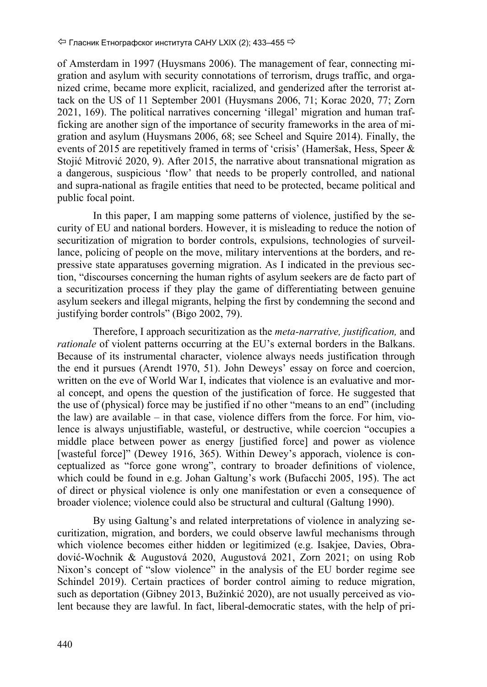of Amsterdam in 1997 (Huysmans 2006). The management of fear, connecting migration and asylum with security connotations of terrorism, drugs traffic, and organized crime, became more explicit, racialized, and genderized after the terrorist attack on the US of 11 September 2001 (Huysmans 2006, 71; Korac 2020, 77; Zorn 2021, 169). The political narratives concerning 'illegal' migration and human trafficking are another sign of the importance of security frameworks in the area of migration and asylum (Huysmans 2006, 68; see Scheel and Squire 2014). Finally, the events of 2015 are repetitively framed in terms of 'crisis' (Hameršak, Hess, Speer & Stojić Mitrović 2020, 9). After 2015, the narrative about transnational migration as a dangerous, suspicious 'flow' that needs to be properly controlled, and national and supra-national as fragile entities that need to be protected, became political and public focal point.

In this paper, I am mapping some patterns of violence, justified by the security of EU and national borders. However, it is misleading to reduce the notion of securitization of migration to border controls, expulsions, technologies of surveillance, policing of people on the move, military interventions at the borders, and repressive state apparatuses governing migration. As I indicated in the previous section, "discourses concerning the human rights of asylum seekers are de facto part of a securitization process if they play the game of differentiating between genuine asylum seekers and illegal migrants, helping the first by condemning the second and justifying border controls" (Bigo 2002, 79).

Therefore, I approach securitization as the *meta-narrative, justification,* and *rationale* of violent patterns occurring at the EU's external borders in the Balkans. Because of its instrumental character, violence always needs justification through the end it pursues (Arendt 1970, 51). John Deweys' essay on force and coercion, written on the eve of World War I, indicates that violence is an evaluative and moral concept, and opens the question of the justification of force. He suggested that the use of (physical) force may be justified if no other "means to an end" (including the law) are available – in that case, violence differs from the force. For him, violence is always unjustifiable, wasteful, or destructive, while coercion "occupies a middle place between power as energy [justified force] and power as violence [wasteful force]" (Dewey 1916, 365). Within Dewey's apporach, violence is conceptualized as "force gone wrong", contrary to broader definitions of violence, which could be found in e.g. Johan Galtung's work (Bufacchi 2005, 195). The act of direct or physical violence is only one manifestation or even a consequence of broader violence; violence could also be structural and cultural (Galtung 1990).

By using Galtung's and related interpretations of violence in analyzing securitization, migration, and borders, we could observe lawful mechanisms through which violence becomes either hidden or legitimized (e.g. Isakjee, Davies, Obradović‐Wochnik & Augustová 2020, Augustová 2021, Zorn 2021; on using Rob Nixon's concept of "slow violence" in the analysis of the EU border regime see Schindel 2019). Certain practices of border control aiming to reduce migration, such as deportation (Gibney 2013, Bužinkić 2020), are not usually perceived as violent because they are lawful. In fact, liberal-democratic states, with the help of pri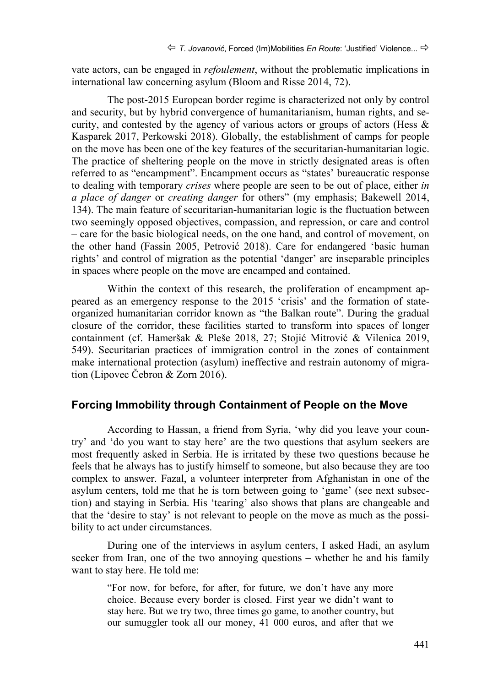vate actors, can be engaged in *refoulement*, without the problematic implications in international law concerning asylum (Bloom and Risse 2014, 72).

The post-2015 European border regime is characterized not only by control and security, but by hybrid convergence of humanitarianism, human rights, and security, and contested by the agency of various actors or groups of actors (Hess & Kasparek 2017, Perkowski 2018). Globally, the establishment of camps for people on the move has been one of the key features of the securitarian-humanitarian logic. The practice of sheltering people on the move in strictly designated areas is often referred to as "encampment". Encampment occurs as "states' bureaucratic response to dealing with temporary *crises* where people are seen to be out of place, either *in a place of danger* or *creating danger* for others" (my emphasis; Bakewell 2014, 134). The main feature of securitarian-humanitarian logic is the fluctuation between two seemingly opposed objectives, compassion, and repression, or care and control – care for the basic biological needs, on the one hand, and control of movement, on the other hand (Fassin 2005, Petrović 2018). Care for endangered 'basic human rights' and control of migration as the potential 'danger' are inseparable principles in spaces where people on the move are encamped and contained.

Within the context of this research, the proliferation of encampment appeared as an emergency response to the 2015 'crisis' and the formation of stateorganized humanitarian corridor known as "the Balkan route". During the gradual closure of the corridor, these facilities started to transform into spaces of longer containment (cf. Hameršak & Pleše 2018, 27; Stojić Mitrović & Vilenica 2019, 549). Securitarian practices of immigration control in the zones of containment make international protection (asylum) ineffective and restrain autonomy of migration (Lipovec Čebron & Zorn 2016).

#### **Forcing Immobility through Containment of People on the Move**

According to Hassan, a friend from Syria, 'why did you leave your country' and 'do you want to stay here' are the two questions that asylum seekers are most frequently asked in Serbia. He is irritated by these two questions because he feels that he always has to justify himself to someone, but also because they are too complex to answer. Fazal, a volunteer interpreter from Afghanistan in one of the asylum centers, told me that he is torn between going to 'game' (see next subsection) and staying in Serbia. His 'tearing' also shows that plans are changeable and that the 'desire to stay' is not relevant to people on the move as much as the possibility to act under circumstances.

During one of the interviews in asylum centers, I asked Hadi, an asylum seeker from Iran, one of the two annoying questions – whether he and his family want to stay here. He told me:

"For now, for before, for after, for future, we don't have any more choice. Because every border is closed. First year we didn't want to stay here. But we try two, three times go game, to another country, but our sumuggler took all our money, 41 000 euros, and after that we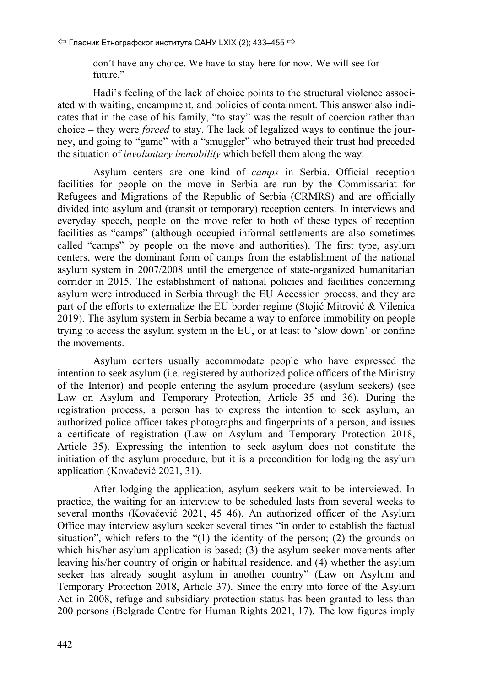don't have any choice. We have to stay here for now. We will see for future."

Hadi's feeling of the lack of choice points to the structural violence associated with waiting, encampment, and policies of containment. This answer also indicates that in the case of his family, "to stay" was the result of coercion rather than choice – they were *forced* to stay. The lack of legalized ways to continue the journey, and going to "game" with a "smuggler" who betrayed their trust had preceded the situation of *involuntary immobility* which befell them along the way.

Asylum centers are one kind of *camps* in Serbia. Official reception facilities for people on the move in Serbia are run by the Commissariat for Refugees and Migrations of the Republic of Serbia (CRMRS) and are officially divided into asylum and (transit or temporary) reception centers. In interviews and everyday speech, people on the move refer to both of these types of reception facilities as "camps" (although occupied informal settlements are also sometimes called "camps" by people on the move and authorities). The first type, asylum centers, were the dominant form of camps from the establishment of the national asylum system in 2007/2008 until the emergence of state-organized humanitarian corridor in 2015. The establishment of national policies and facilities concerning asylum were introduced in Serbia through the EU Accession process, and they are part of the efforts to externalize the EU border regime (Stojić Mitrović & Vilenica 2019). The asylum system in Serbia became a way to enforce immobility on people trying to access the asylum system in the EU, or at least to 'slow down' or confine the movements.

Asylum centers usually accommodate people who have expressed the intention to seek asylum (i.e. registered by authorized police officers of the Ministry of the Interior) and people entering the asylum procedure (asylum seekers) (see Law on Asylum and Temporary Protection, Article 35 and 36). During the registration process, a person has to express the intention to seek asylum, an authorized police officer takes photographs and fingerprints of a person, and issues a certificate of registration (Law on Asylum and Temporary Protection 2018, Article 35). Expressing the intention to seek asylum does not constitute the initiation of the asylum procedure, but it is a precondition for lodging the asylum application (Kovačević 2021, 31).

After lodging the application, asylum seekers wait to be interviewed. In practice, the waiting for an interview to be scheduled lasts from several weeks to several months (Kovačević 2021, 45–46). An authorized officer of the Asylum Office may interview asylum seeker several times "in order to establish the factual situation", which refers to the "(1) the identity of the person; (2) the grounds on which his/her asylum application is based; (3) the asylum seeker movements after leaving his/her country of origin or habitual residence, and (4) whether the asylum seeker has already sought asylum in another country" (Law on Asylum and Temporary Protection 2018, Article 37). Since the entry into force of the Asylum Act in 2008, refuge and subsidiary protection status has been granted to less than 200 persons (Belgrade Centre for Human Rights 2021, 17). The low figures imply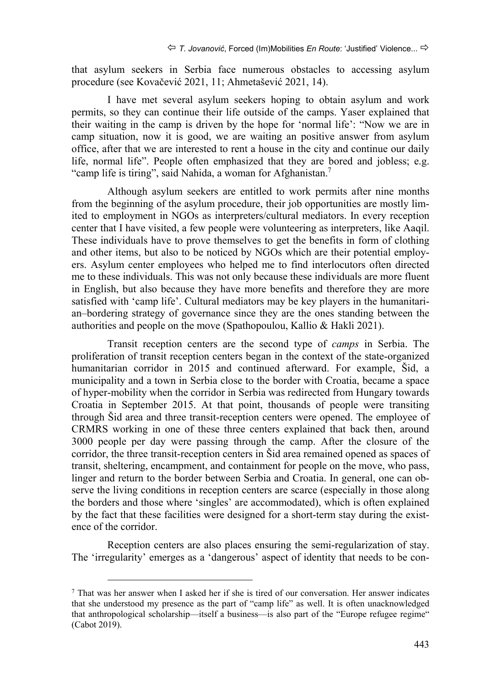that asylum seekers in Serbia face numerous obstacles to accessing asylum procedure (see Kovačević 2021, 11; Ahmetašević 2021, 14).

I have met several asylum seekers hoping to obtain asylum and work permits, so they can continue their life outside of the camps. Yaser explained that their waiting in the camp is driven by the hope for 'normal life': "Now we are in camp situation, now it is good, we are waiting an positive answer from asylum office, after that we are interested to rent a house in the city and continue our daily life, normal life". People often emphasized that they are bored and jobless; e.g. "camp life is tiring", said Nahida, a woman for Afghanistan.<sup>7</sup>

Although asylum seekers are entitled to work permits after nine months from the beginning of the asylum procedure, their job opportunities are mostly limited to employment in NGOs as interpreters/cultural mediators. In every reception center that I have visited, a few people were volunteering as interpreters, like Aaqil. These individuals have to prove themselves to get the benefits in form of clothing and other items, but also to be noticed by NGOs which are their potential employers. Asylum center employees who helped me to find interlocutors often directed me to these individuals. This was not only because these individuals are more fluent in English, but also because they have more benefits and therefore they are more satisfied with 'camp life'. Cultural mediators may be key players in the humanitarian–bordering strategy of governance since they are the ones standing between the authorities and people on the move (Spathopoulou, Kallio & Hakli 2021).

Transit reception centers are the second type of *camps* in Serbia. The proliferation of transit reception centers began in the context of the state-organized humanitarian corridor in 2015 and continued afterward. For example, Šid, a municipality and a town in Serbia close to the border with Croatia, became a space of hyper-mobility when the corridor in Serbia was redirected from Hungary towards Croatia in September 2015. At that point, thousands of people were transiting through Šid area and three transit-reception centers were opened. The employee of CRMRS working in one of these three centers explained that back then, around 3000 people per day were passing through the camp. After the closure of the corridor, the three transit-reception centers in Šid area remained opened as spaces of transit, sheltering, encampment, and containment for people on the move, who pass, linger and return to the border between Serbia and Croatia. In general, one can observe the living conditions in reception centers are scarce (especially in those along the borders and those where 'singles' are accommodated), which is often explained by the fact that these facilities were designed for a short-term stay during the existence of the corridor.

Reception centers are also places ensuring the semi-regularization of stay. The 'irregularity' emerges as a 'dangerous' aspect of identity that needs to be con-

 <sup>7</sup> That was her answer when I asked her if she is tired of our conversation. Her answer indicates that she understood my presence as the part of "camp life" as well. It is often unacknowledged that anthropological scholarship—itself a business—is also part of the "Europe refugee regime" (Cabot 2019).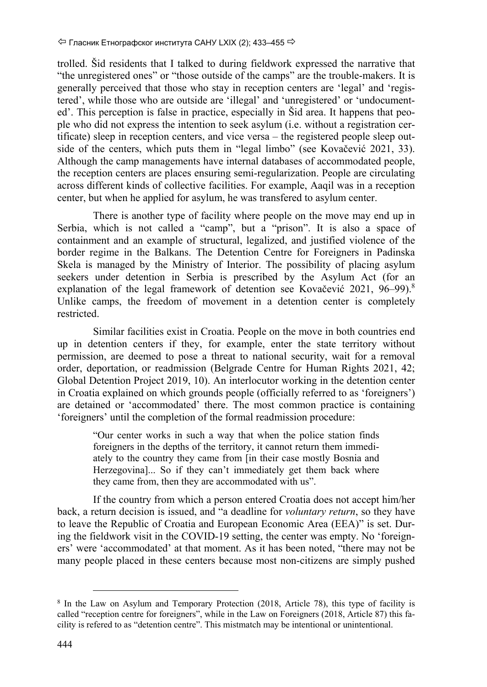trolled. Šid residents that I talked to during fieldwork expressed the narrative that "the unregistered ones" or "those outside of the camps" are the trouble-makers. It is generally perceived that those who stay in reception centers are 'legal' and 'registered', while those who are outside are 'illegal' and 'unregistered' or 'undocumented'. This perception is false in practice, especially in Šid area. It happens that people who did not express the intention to seek asylum (i.e. without a registration certificate) sleep in reception centers, and vice versa – the registered people sleep outside of the centers, which puts them in "legal limbo" (see Kovačević 2021, 33). Although the camp managements have internal databases of accommodated people, the reception centers are places ensuring semi-regularization. People are circulating across different kinds of collective facilities. For example, Aaqil was in a reception center, but when he applied for asylum, he was transfered to asylum center.

There is another type of facility where people on the move may end up in Serbia, which is not called a "camp", but a "prison". It is also a space of containment and an example of structural, legalized, and justified violence of the border regime in the Balkans. The Detention Centre for Foreigners in Padinska Skela is managed by the Ministry of Interior. The possibility of placing asylum seekers under detention in Serbia is prescribed by the Asylum Act (for an explanation of the legal framework of detention see Kovačević 2021, 96–99).<sup>8</sup> Unlike camps, the freedom of movement in a detention center is completely restricted.

Similar facilities exist in Croatia. People on the move in both countries end up in detention centers if they, for example, enter the state territory without permission, are deemed to pose a threat to national security, wait for a removal order, deportation, or readmission (Belgrade Centre for Human Rights 2021, 42; Global Detention Project 2019, 10). An interlocutor working in the detention center in Croatia explained on which grounds people (officially referred to as 'foreigners') are detained or 'accommodated' there. The most common practice is containing 'foreigners' until the completion of the formal readmission procedure:

"Our center works in such a way that when the police station finds foreigners in the depths of the territory, it cannot return them immediately to the country they came from [in their case mostly Bosnia and Herzegovina]... So if they can't immediately get them back where they came from, then they are accommodated with us".

If the country from which a person entered Croatia does not accept him/her back, a return decision is issued, and "a deadline for *voluntary return*, so they have to leave the Republic of Croatia and European Economic Area (EEA)" is set. During the fieldwork visit in the COVID-19 setting, the center was empty. No 'foreigners' were 'accommodated' at that moment. As it has been noted, "there may not be many people placed in these centers because most non-citizens are simply pushed

<sup>8</sup> In the Law on Asylum and Temporary Protection (2018, Article 78), this type of facility is called "reception centre for foreigners", while in the Law on Foreigners (2018, Article 87) this facility is refered to as "detention centre". This mistmatch may be intentional or unintentional.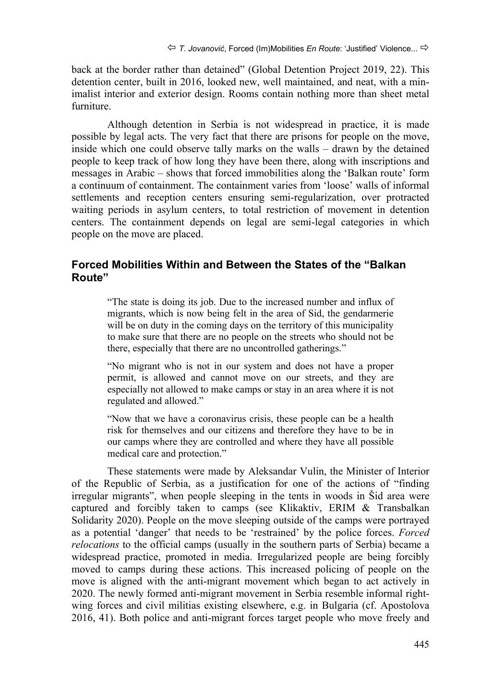back at the border rather than detained" (Global Detention Project 2019, 22). This detention center, built in 2016, looked new, well maintained, and neat, with a minimalist interior and exterior design. Rooms contain nothing more than sheet metal furniture.

Although detention in Serbia is not widespread in practice, it is made possible by legal acts. The very fact that there are prisons for people on the move, inside which one could observe tally marks on the walls – drawn by the detained people to keep track of how long they have been there, along with inscriptions and messages in Arabic – shows that forced immobilities along the 'Balkan route' form a continuum of containment. The containment varies from 'loose' walls of informal settlements and reception centers ensuring semi-regularization, over protracted waiting periods in asylum centers, to total restriction of movement in detention centers. The containment depends on legal are semi-legal categories in which people on the move are placed.

#### **Forced Mobilities Within and Between the States of the "Balkan Route"**

"The state is doing its job. Due to the increased number and influx of migrants, which is now being felt in the area of Sid, the gendarmerie will be on duty in the coming days on the territory of this municipality to make sure that there are no people on the streets who should not be there, especially that there are no uncontrolled gatherings."

"No migrant who is not in our system and does not have a proper permit, is allowed and cannot move on our streets, and they are especially not allowed to make camps or stay in an area where it is not regulated and allowed."

"Now that we have a coronavirus crisis, these people can be a health risk for themselves and our citizens and therefore they have to be in our camps where they are controlled and where they have all possible medical care and protection."

These statements were made by Aleksandar Vulin, the Minister of Interior of the Republic of Serbia, as a justification for one of the actions of "finding irregular migrants", when people sleeping in the tents in woods in Šid area were captured and forcibly taken to camps (see Klikaktiv, ERIM & Transbalkan Solidarity 2020). People on the move sleeping outside of the camps were portrayed as a potential 'danger' that needs to be 'restrained' by the police forces. *Forced relocations* to the official camps (usually in the southern parts of Serbia) became a widespread practice, promoted in media. Irregularized people are being forcibly moved to camps during these actions. This increased policing of people on the move is aligned with the anti-migrant movement which began to act actively in 2020. The newly formed anti-migrant movement in Serbia resemble informal rightwing forces and civil militias existing elsewhere, e.g. in Bulgaria (cf. Apostolova 2016, 41). Both police and anti-migrant forces target people who move freely and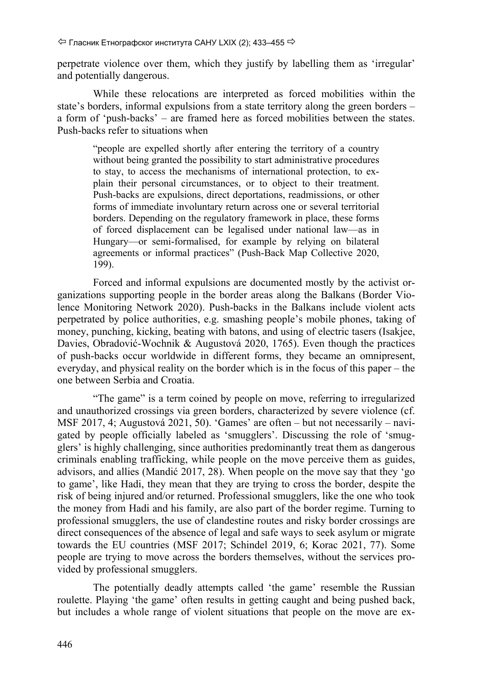perpetrate violence over them, which they justify by labelling them as 'irregular' and potentially dangerous.

While these relocations are interpreted as forced mobilities within the state's borders, informal expulsions from a state territory along the green borders – a form of 'push-backs' – are framed here as forced mobilities between the states. Push-backs refer to situations when

"people are expelled shortly after entering the territory of a country without being granted the possibility to start administrative procedures to stay, to access the mechanisms of international protection, to explain their personal circumstances, or to object to their treatment. Push-backs are expulsions, direct deportations, readmissions, or other forms of immediate involuntary return across one or several territorial borders. Depending on the regulatory framework in place, these forms of forced displacement can be legalised under national law—as in Hungary—or semi-formalised, for example by relying on bilateral agreements or informal practices" (Push-Back Map Collective 2020, 199).

Forced and informal expulsions are documented mostly by the activist organizations supporting people in the border areas along the Balkans (Border Violence Monitoring Network 2020). Push-backs in the Balkans include violent acts perpetrated by police authorities, e.g. smashing people's mobile phones, taking of money, punching, kicking, beating with batons, and using of electric tasers (Isakjee, Davies, Obradović‐Wochnik & Augustová 2020, 1765). Even though the practices of push-backs occur worldwide in different forms, they became an omnipresent, everyday, and physical reality on the border which is in the focus of this paper – the one between Serbia and Croatia.

"The game" is a term coined by people on move, referring to irregularized and unauthorized crossings via green borders, characterized by severe violence (cf. MSF 2017, 4; Augustová 2021, 50). 'Games' are often – but not necessarily – navigated by people officially labeled as 'smugglers'. Discussing the role of 'smugglers' is highly challenging, since authorities predominantly treat them as dangerous criminals enabling trafficking, while people on the move perceive them as guides, advisors, and allies (Mandić 2017, 28). When people on the move say that they 'go to game', like Hadi, they mean that they are trying to cross the border, despite the risk of being injured and/or returned. Professional smugglers, like the one who took the money from Hadi and his family, are also part of the border regime. Turning to professional smugglers, the use of clandestine routes and risky border crossings are direct consequences of the absence of legal and safe ways to seek asylum or migrate towards the EU countries (MSF 2017; Schindel 2019, 6; Korac 2021, 77). Some people are trying to move across the borders themselves, without the services provided by professional smugglers.

The potentially deadly attempts called 'the game' resemble the Russian roulette. Playing 'the game' often results in getting caught and being pushed back, but includes a whole range of violent situations that people on the move are ex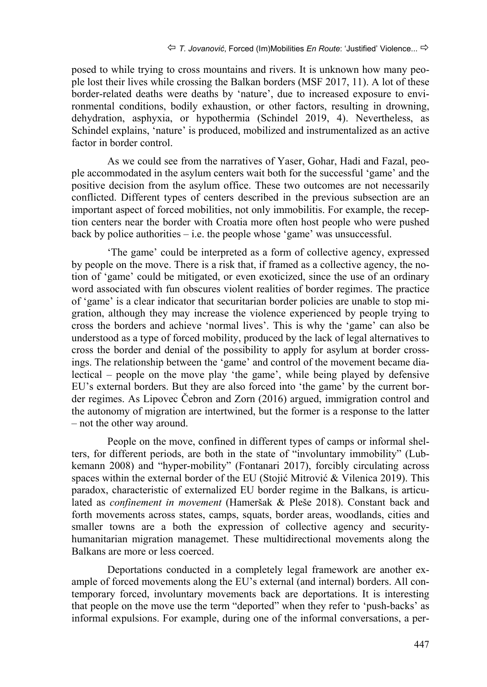posed to while trying to cross mountains and rivers. It is unknown how many people lost their lives while crossing the Balkan borders (MSF 2017, 11). A lot of these border-related deaths were deaths by 'nature', due to increased exposure to environmental conditions, bodily exhaustion, or other factors, resulting in drowning, dehydration, asphyxia, or hypothermia (Schindel 2019, 4). Nevertheless, as Schindel explains, 'nature' is produced, mobilized and instrumentalized as an active factor in border control.

As we could see from the narratives of Yaser, Gohar, Hadi and Fazal, people accommodated in the asylum centers wait both for the successful 'game' and the positive decision from the asylum office. These two outcomes are not necessarily conflicted. Different types of centers described in the previous subsection are an important aspect of forced mobilities, not only immobilitis. For example, the reception centers near the border with Croatia more often host people who were pushed back by police authorities  $-$  i.e. the people whose 'game' was unsuccessful.

'The game' could be interpreted as a form of collective agency, expressed by people on the move. There is a risk that, if framed as a collective agency, the notion of 'game' could be mitigated, or even exoticized, since the use of an ordinary word associated with fun obscures violent realities of border regimes. The practice of 'game' is a clear indicator that securitarian border policies are unable to stop migration, although they may increase the violence experienced by people trying to cross the borders and achieve 'normal lives'. This is why the 'game' can also be understood as a type of forced mobility, produced by the lack of legal alternatives to cross the border and denial of the possibility to apply for asylum at border crossings. The relationship between the 'game' and control of the movement became dialectical – people on the move play 'the game', while being played by defensive EU's external borders. But they are also forced into 'the game' by the current border regimes. As Lipovec Čebron and Zorn (2016) argued, immigration control and the autonomy of migration are intertwined, but the former is a response to the latter – not the other way around.

People on the move, confined in different types of camps or informal shelters, for different periods, are both in the state of "involuntary immobility" (Lubkemann 2008) and "hyper-mobility" (Fontanari 2017), forcibly circulating across spaces within the external border of the EU (Stojić Mitrović & Vilenica 2019). This paradox, characteristic of externalized EU border regime in the Balkans, is articulated as *confinement in movement* (Hameršak & Pleše 2018). Constant back and forth movements across states, camps, squats, border areas, woodlands, cities and smaller towns are a both the expression of collective agency and securityhumanitarian migration managemet. These multidirectional movements along the Balkans are more or less coerced.

Deportations conducted in a completely legal framework are another example of forced movements along the EU's external (and internal) borders. All contemporary forced, involuntary movements back are deportations. It is interesting that people on the move use the term "deported" when they refer to 'push-backs' as informal expulsions. For example, during one of the informal conversations, a per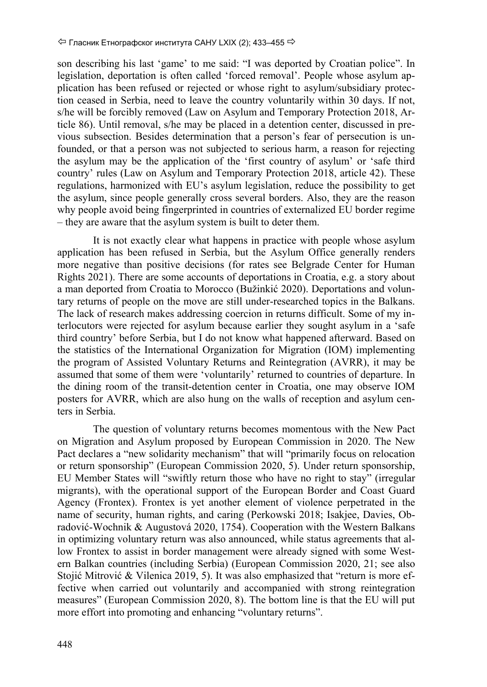son describing his last 'game' to me said: "I was deported by Croatian police". In legislation, deportation is often called 'forced removal'. People whose asylum application has been refused or rejected or whose right to asylum/subsidiary protection ceased in Serbia, need to leave the country voluntarily within 30 days. If not, s/he will be forcibly removed (Law on Asylum and Temporary Protection 2018, Article 86). Until removal, s/he may be placed in a detention center, discussed in previous subsection. Besides determination that a person's fear of persecution is unfounded, or that a person was not subjected to serious harm, a reason for rejecting the asylum may be the application of the 'first country of asylum' or 'safe third country' rules (Law on Asylum and Temporary Protection 2018, article 42). These regulations, harmonized with EU's asylum legislation, reduce the possibility to get the asylum, since people generally cross several borders. Also, they are the reason why people avoid being fingerprinted in countries of externalized EU border regime – they are aware that the asylum system is built to deter them.

It is not exactly clear what happens in practice with people whose asylum application has been refused in Serbia, but the Asylum Office generally renders more negative than positive decisions (for rates see Belgrade Center for Human Rights 2021). There are some accounts of deportations in Croatia, e.g. a story about a man deported from Croatia to Morocco (Bužinkić 2020). Deportations and voluntary returns of people on the move are still under-researched topics in the Balkans. The lack of research makes addressing coercion in returns difficult. Some of my interlocutors were rejected for asylum because earlier they sought asylum in a 'safe third country' before Serbia, but I do not know what happened afterward. Based on the statistics of the International Organization for Migration (IOM) implementing the program of Assisted Voluntary Returns and Reintegration (AVRR), it may be assumed that some of them were 'voluntarily' returned to countries of departure. In the dining room of the transit-detention center in Croatia, one may observe IOM posters for AVRR, which are also hung on the walls of reception and asylum centers in Serbia.

The question of voluntary returns becomes momentous with the New Pact on Migration and Asylum proposed by European Commission in 2020. The New Pact declares a "new solidarity mechanism" that will "primarily focus on relocation or return sponsorship" (European Commission 2020, 5). Under return sponsorship, EU Member States will "swiftly return those who have no right to stay" (irregular migrants), with the operational support of the European Border and Coast Guard Agency (Frontex). Frontex is yet another element of violence perpetrated in the name of security, human rights, and caring (Perkowski 2018; Isakjee, Davies, Obradović‐Wochnik & Augustová 2020, 1754). Cooperation with the Western Balkans in optimizing voluntary return was also announced, while status agreements that allow Frontex to assist in border management were already signed with some Western Balkan countries (including Serbia) (European Commission 2020, 21; see also Stojić Mitrović & Vilenica 2019, 5). It was also emphasized that "return is more effective when carried out voluntarily and accompanied with strong reintegration measures" (European Commission 2020, 8). The bottom line is that the EU will put more effort into promoting and enhancing "voluntary returns".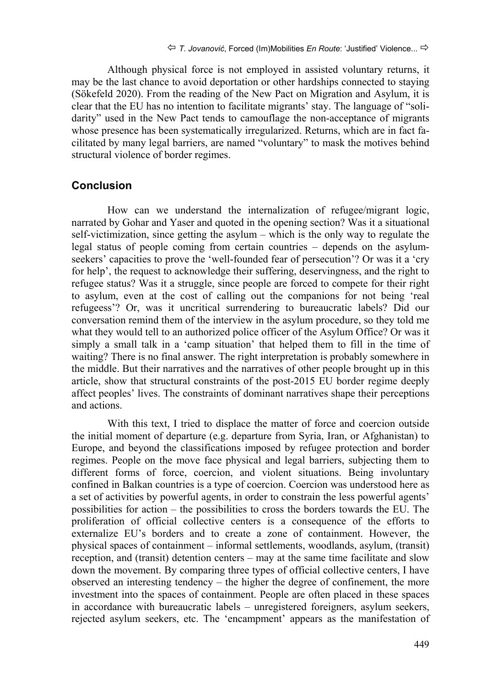Although physical force is not employed in assisted voluntary returns, it may be the last chance to avoid deportation or other hardships connected to staying (Sökefeld 2020). From the reading of the New Pact on Migration and Asylum, it is clear that the EU has no intention to facilitate migrants' stay. The language of "solidarity" used in the New Pact tends to camouflage the non-acceptance of migrants whose presence has been systematically irregularized. Returns, which are in fact facilitated by many legal barriers, are named "voluntary" to mask the motives behind structural violence of border regimes.

#### **Conclusion**

How can we understand the internalization of refugee/migrant logic, narrated by Gohar and Yaser and quoted in the opening section? Was it a situational self-victimization, since getting the asylum – which is the only way to regulate the legal status of people coming from certain countries – depends on the asylumseekers' capacities to prove the 'well-founded fear of persecution'? Or was it a 'cry for help', the request to acknowledge their suffering, deservingness, and the right to refugee status? Was it a struggle, since people are forced to compete for their right to asylum, even at the cost of calling out the companions for not being 'real refugeess'? Or, was it uncritical surrendering to bureaucratic labels? Did our conversation remind them of the interview in the asylum procedure, so they told me what they would tell to an authorized police officer of the Asylum Office? Or was it simply a small talk in a 'camp situation' that helped them to fill in the time of waiting? There is no final answer. The right interpretation is probably somewhere in the middle. But their narratives and the narratives of other people brought up in this article, show that structural constraints of the post-2015 EU border regime deeply affect peoples' lives. The constraints of dominant narratives shape their perceptions and actions.

With this text, I tried to displace the matter of force and coercion outside the initial moment of departure (e.g. departure from Syria, Iran, or Afghanistan) to Europe, and beyond the classifications imposed by refugee protection and border regimes. People on the move face physical and legal barriers, subjecting them to different forms of force, coercion, and violent situations. Being involuntary confined in Balkan countries is a type of coercion. Coercion was understood here as a set of activities by powerful agents, in order to constrain the less powerful agents' possibilities for action – the possibilities to cross the borders towards the EU. The proliferation of official collective centers is a consequence of the efforts to externalize EU's borders and to create a zone of containment. However, the physical spaces of containment – informal settlements, woodlands, asylum, (transit) reception, and (transit) detention centers – may at the same time facilitate and slow down the movement. By comparing three types of official collective centers, I have observed an interesting tendency – the higher the degree of confinement, the more investment into the spaces of containment. People are often placed in these spaces in accordance with bureaucratic labels – unregistered foreigners, asylum seekers, rejected asylum seekers, etc. The 'encampment' appears as the manifestation of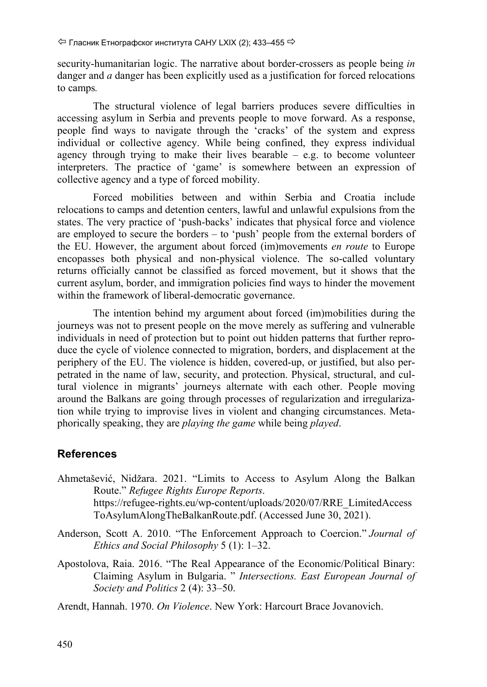security-humanitarian logic. The narrative about border-crossers as people being *in*  danger and *a* danger has been explicitly used as a justification for forced relocations to camps*.*

The structural violence of legal barriers produces severe difficulties in accessing asylum in Serbia and prevents people to move forward. As a response, people find ways to navigate through the 'cracks' of the system and express individual or collective agency. While being confined, they express individual agency through trying to make their lives bearable  $-$  e.g. to become volunteer interpreters. The practice of 'game' is somewhere between an expression of collective agency and a type of forced mobility.

Forced mobilities between and within Serbia and Croatia include relocations to camps and detention centers, lawful and unlawful expulsions from the states. The very practice of 'push-backs' indicates that physical force and violence are employed to secure the borders – to 'push' people from the external borders of the EU. However, the argument about forced (im)movements *en route* to Europe encopasses both physical and non-physical violence. The so-called voluntary returns officially cannot be classified as forced movement, but it shows that the current asylum, border, and immigration policies find ways to hinder the movement within the framework of liberal-democratic governance.

The intention behind my argument about forced (im)mobilities during the journeys was not to present people on the move merely as suffering and vulnerable individuals in need of protection but to point out hidden patterns that further reproduce the cycle of violence connected to migration, borders, and displacement at the periphery of the EU. The violence is hidden, covered-up, or justified, but also perpetrated in the name of law, security, and protection. Physical, structural, and cultural violence in migrants' journeys alternate with each other. People moving around the Balkans are going through processes of regularization and irregularization while trying to improvise lives in violent and changing circumstances. Metaphorically speaking, they are *playing the game* while being *played*.

# **References**

- Ahmetašević, Nidžara. 2021. "Limits to Access to Asylum Along the Balkan Route." *Refugee Rights Europe Reports*. https://refugee-rights.eu/wp-content/uploads/2020/07/RRE\_LimitedAccess ToAsylumAlongTheBalkanRoute.pdf. (Accessed Јunе 30, 2021).
- Anderson, Scott A. 2010. "The Enforcement Approach to Coercion." *Journal of Ethics and Social Philosophy* 5 (1): 1–32.
- Apostolova, Raia. 2016. "The Real Appearance of the Economic/Political Binary: Claiming Asylum in Bulgaria. " *Intersections. East European Journal of Society and Politics* 2 (4): 33–50.

Arendt, Hannah. 1970. *On Violence*. New York: Harcourt Brace Jovanovich.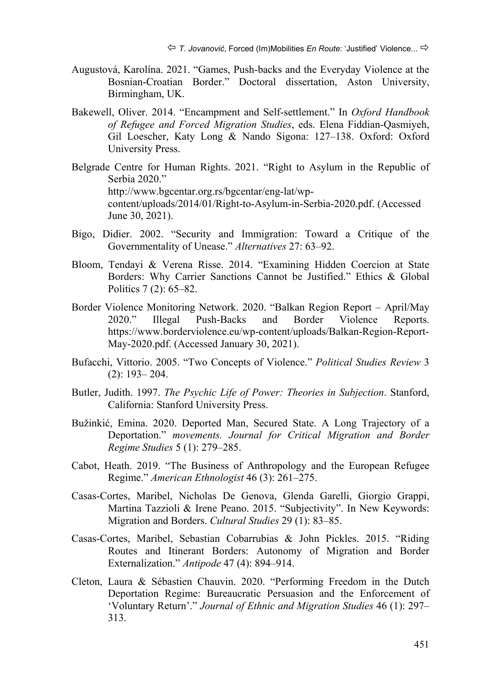- Augustová, Karolína. 2021. "Games, Push-backs and the Everyday Violence at the Bosnian-Croatian Border." Doctoral dissertation, Aston University, Birmingham, UK.
- Bakewell, Oliver. 2014. "Encampment and Self-settlement." In *Oxford Handbook of Refugee and Forced Migration Studies*, eds. Elena Fiddian-Qasmiyeh, Gil Loescher, Katy Long & Nando Sigona: 127–138. Oxford: Oxford University Press.
- Belgrade Centre for Human Rights. 2021. "Right to Asylum in the Republic of Serbia 2020." http://www.bgcentar.org.rs/bgcentar/eng-lat/wpcontent/uploads/2014/01/Right-to-Asylum-in-Serbia-2020.pdf. (Accessed Јunе 30, 2021).
- Bigo, Didier. 2002. "Security and Immigration: Toward a Critique of the Governmentality of Unease." *Alternatives* 27: 63–92.
- Bloom, Tendayi & Verena Risse. 2014. "Examining Hidden Coercion at State Borders: Why Carrier Sanctions Cannot be Justified." Ethics & Global Politics 7 (2): 65–82.
- Border Violence Monitoring Network. 2020. "Balkan Region Report April/May 2020." Illegal Push-Backs and Border Violence Reports. https://www.borderviolence.eu/wp-content/uploads/Balkan-Region-Report-May-2020.pdf. (Accessed Јanuary 30, 2021).
- Bufacchi, Vittorio. 2005. "Two Concepts of Violence." *Political Studies Review* 3 (2): 193– 204.
- Butler, Judith. 1997. *The Psychic Life of Power: Theories in Subjection*. Stanford, California: Stanford University Press.
- Bužinkić, Emina. 2020. Deported Man, Secured State. A Long Trajectory of a Deportation." *movements. Journal for Critical Migration and Border Regime Studies* 5 (1): 279–285.
- Cabot, Heath. 2019. "The Business of Anthropology and the European Refugee Regime." *American Ethnologist* 46 (3): 261–275.
- Casas-Cortes, Maribel, Nicholas De Genova, Glenda Garelli, Giorgio Grappi, Martina Tazzioli & Irene Peano. 2015. "Subjectivity". In New Keywords: Migration and Borders. *Cultural Studies* 29 (1): 83–85.
- Casas‐Cortes, Maribel, Sebastian Cobarrubias & John Pickles. 2015. "Riding Routes and Itinerant Borders: Autonomy of Migration and Border Externalization." *Antipode* 47 (4): 894–914.
- Cleton, Laura & Sébastien Chauvin. 2020. "Performing Freedom in the Dutch Deportation Regime: Bureaucratic Persuasion and the Enforcement of 'Voluntary Return'." *Journal of Ethnic and Migration Studies* 46 (1): 297– 313.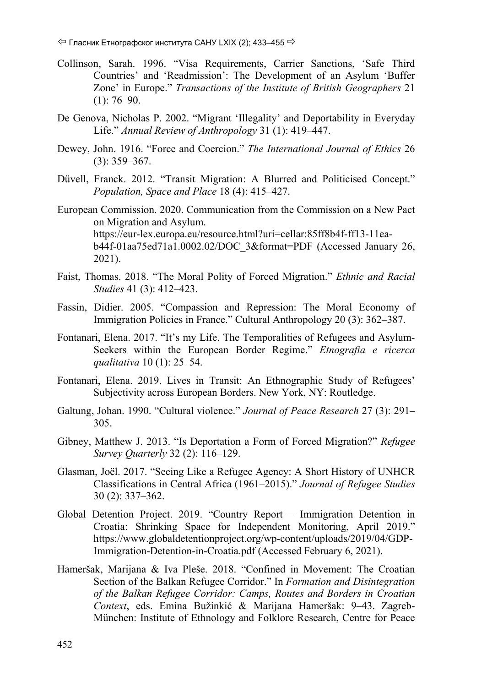- Collinson, Sarah. 1996. "Visa Requirements, Carrier Sanctions, 'Safe Third Countries' and 'Readmission': The Development of an Asylum 'Buffer Zone' in Europe." *Transactions of the Institute of British Geographers* 21  $(1): 76–90.$
- De Genova, Nicholas P. 2002. "Migrant 'Illegality' and Deportability in Everyday Life." *Annual Review of Anthropology* 31 (1): 419–447.
- Dewey, John. 1916. "Force and Coercion." *The International Journal of Ethics* 26 (3): 359–367.
- Düvell, Franck. 2012. "Transit Migration: A Blurred and Politicised Concept." *Population, Space and Place* 18 (4): 415–427.
- European Commission. 2020. Communication from the Commission on a New Pact on Migration and Asylum. https://eur-lex.europa.eu/resource.html?uri=cellar:85ff8b4f-ff13-11eab44f-01aa75ed71a1.0002.02/DOC\_3&format=PDF (Accessed Јanuary 26, 2021).
- Faist, Thomas. 2018. "The Moral Polity of Forced Migration." *Ethnic and Racial Studies* 41 (3): 412–423.
- Fassin, Didier. 2005. "Compassion and Repression: The Moral Economy of Immigration Policies in France." Cultural Anthropology 20 (3): 362–387.
- Fontanari, Elena. 2017. "It's my Life. The Temporalities of Refugees and Asylum-Seekers within the European Border Regime." *Etnografia e ricerca qualitativa* 10 (1): 25–54.
- Fontanari, Elena. 2019. Lives in Transit: An Ethnographic Study of Refugees' Subjectivity across European Borders. New York, NY: Routledge.
- Galtung, Johan. 1990. "Cultural violence." *Journal of Peace Research* 27 (3): 291– 305.
- Gibney, Matthew J. 2013. "Is Deportation a Form of Forced Migration?" *Refugee Survey Quarterly* 32 (2): 116–129.
- Glasman, Joël. 2017. "Seeing Like a Refugee Agency: A Short History of UNHCR Classifications in Central Africa (1961–2015)." *Journal of Refugee Studies* 30 (2): 337–362.
- Global Detention Project. 2019. "Country Report Immigration Detention in Croatia: Shrinking Space for Independent Monitoring, April 2019." https://www.globaldetentionproject.org/wp-content/uploads/2019/04/GDP-Immigration-Detention-in-Croatia.pdf (Accessed February 6, 2021).
- Hameršak, Marijana & Iva Pleše. 2018. "Confined in Movement: The Croatian Section of the Balkan Refugee Corridor." In *Formation and Disintegration of the Balkan Refugee Corridor: Camps, Routes and Borders in Croatian Context*, eds. Emina Bužinkić & Marijana Hameršak: 9–43. Zagreb-München: Institute of Ethnology and Folklore Research, Centre for Peace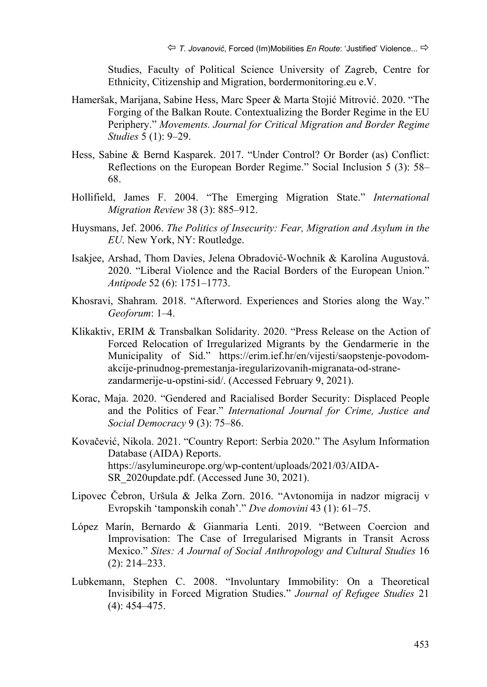Studies, Faculty of Political Science University of Zagreb, Centre for Ethnicity, Citizenship and Migration, bordermonitoring.eu e.V.

- Hameršak, Marijana, Sabine Hess, Marc Speer & Marta Stojić Mitrović. 2020. "The Forging of the Balkan Route. Contextualizing the Border Regime in the EU Periphery." *Movements. Journal for Critical Migration and Border Regime Studies* 5 (1): 9–29.
- Hess, Sabine & Bernd Kasparek. 2017. "Under Control? Or Border (as) Conflict: Reflections on the European Border Regime." Social Inclusion 5 (3): 58– 68.
- Hollifield, James F. 2004. "The Emerging Migration State." *International Migration Review* 38 (3): 885–912.
- Huysmans, Jef. 2006. *The Politics of Insecurity: Fear, Migration and Asylum in the EU*. New York, NY: Routledge.
- Isakjee, Arshad, Thom Davies, Jelena Obradović‐Wochnik & Karolína Augustová. 2020. "Liberal Violence and the Racial Borders of the European Union." *Antipode* 52 (6): 1751–1773.
- Khosravi, Shahram. 2018. "Afterword. Experiences and Stories along the Way." *Geoforum*: 1–4.
- Klikaktiv, ERIM & Transbalkan Solidarity. 2020. "Press Release on the Action of Forced Relocation of Irregularized Migrants by the Gendarmerie in the Municipality of Sid." https://erim.ief.hr/en/vijesti/saopstenje-povodomakcije-prinudnog-premestanja-iregularizovanih-migranata-od-stranezandarmerije-u-opstini-sid/. (Accessed February 9, 2021).
- Korac, Maja. 2020. "Gendered and Racialised Border Security: Displaced People and the Politics of Fear." *International Journal for Crime, Justice and Social Democracy* 9 (3): 75–86.
- Kovačević, Nikola. 2021. "Country Report: Serbia 2020." The Asylum Information Database (AIDA) Reports. https://asylumineurope.org/wp-content/uploads/2021/03/AIDA-SR\_2020update.pdf. (Accessed June 30, 2021).
- Lipovec Čebron, Uršula & Jelka Zorn. 2016. "Avtonomija in nadzor migracij v Evropskih 'tamponskih conah'." *Dve domovini* 43 (1): 61–75.
- López Marín, Bernardo & Gianmaria Lenti. 2019. "Between Coercion and Improvisation: The Case of Irregularised Migrants in Transit Across Mexico." *Sites: A Journal of Social Anthropology and Cultural Studies* 16 (2): 214–233.
- Lubkemann, Stephen C. 2008. "Involuntary Immobility: On a Theoretical Invisibility in Forced Migration Studies." *Journal of Refugee Studies* 21 (4): 454–475.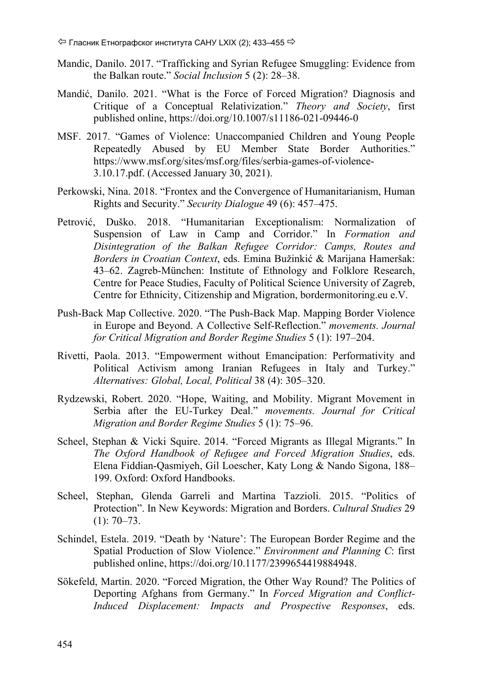- Mandic, Danilo. 2017. "Trafficking and Syrian Refugee Smuggling: Evidence from the Balkan route." *Social Inclusion* 5 (2): 28–38.
- Mandić, Danilo. 2021. "What is the Force of Forced Migration? Diagnosis and Critique of a Conceptual Relativization." *Theory and Society*, first published online, https://doi.org/10.1007/s11186-021-09446-0
- MSF. 2017. "Games of Violence: Unaccompanied Children and Young People Repeatedly Abused by EU Member State Border Authorities." https://www.msf.org/sites/msf.org/files/serbia-games-of-violence-3.10.17.pdf. (Accessed Јanuary 30, 2021).
- Perkowski, Nina. 2018. "Frontex and the Convergence of Humanitarianism, Human Rights and Security." *Security Dialogue* 49 (6): 457–475.
- Petrović, Duško. 2018. "Humanitarian Exceptionalism: Normalization of Suspension of Law in Camp and Corridor." In *Formation and Disintegration of the Balkan Refugee Corridor: Camps, Routes and Borders in Croatian Context*, eds. Emina Bužinkić & Marijana Hameršak: 43–62. Zagreb-München: Institute of Ethnology and Folklore Research, Centre for Peace Studies, Faculty of Political Science University of Zagreb, Centre for Ethnicity, Citizenship and Migration, bordermonitoring.eu e.V.
- Push-Back Map Collective. 2020. "The Push-Back Map. Mapping Border Violence in Europe and Beyond. A Collective Self-Reflection." *movements. Journal for Critical Migration and Border Regime Studies* 5 (1): 197–204.
- Rivetti, Paola. 2013. "Empowerment without Emancipation: Performativity and Political Activism among Iranian Refugees in Italy and Turkey." *Alternatives: Global, Local, Political* 38 (4): 305–320.
- Rydzewski, Robert. 2020. "Hope, Waiting, and Mobility. Migrant Movement in Serbia after the EU-Turkey Deal." *movements. Journal for Critical Migration and Border Regime Studies* 5 (1): 75–96.
- Scheel, Stephan & Vicki Squire. 2014. "Forced Migrants as Illegal Migrants." In *The Oxford Handbook of Refugee and Forced Migration Studies*, eds. Elena Fiddian-Qasmiyeh, Gil Loescher, Katy Long & Nando Sigona, 188– 199. Oxford: Oxford Handbooks.
- Scheel, Stephan, Glenda Garreli and Martina Tazzioli. 2015. "Politics of Protection". In New Keywords: Migration and Borders. *Cultural Studies* 29  $(1): 70-73.$
- Schindel, Estela. 2019. "Death by 'Nature': The European Border Regime and the Spatial Production of Slow Violence." *Environment and Planning C*: first published online, https://doi.org/10.1177/2399654419884948.
- Sökefeld, Martin. 2020. "Forced Migration, the Other Way Round? The Politics of Deporting Afghans from Germany." In *Forced Migration and Conflict-Induced Displacement: Impacts and Prospective Responses*, eds.